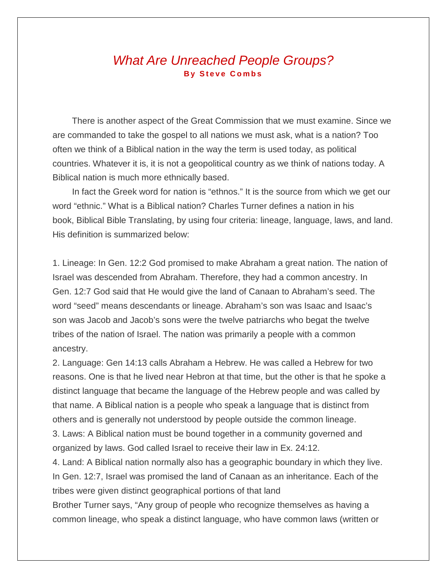## *What Are Unreached People Groups?* **By Steve Combs**

There is another aspect of the Great Commission that we must examine. Since we are commanded to take the gospel to all nations we must ask, what is a nation? Too often we think of a Biblical nation in the way the term is used today, as political countries. Whatever it is, it is not a geopolitical country as we think of nations today. A Biblical nation is much more ethnically based.

In fact the Greek word for nation is "ethnos." It is the source from which we get our word "ethnic." What is a Biblical nation? Charles Turner defines a nation in his book, Biblical Bible Translating, by using four criteria: lineage, language, laws, and land. His definition is summarized below:

1. Lineage: In Gen. 12:2 God promised to make Abraham a great nation. The nation of Israel was descended from Abraham. Therefore, they had a common ancestry. In Gen. 12:7 God said that He would give the land of Canaan to Abraham's seed. The word "seed" means descendants or lineage. Abraham's son was Isaac and Isaac's son was Jacob and Jacob's sons were the twelve patriarchs who begat the twelve tribes of the nation of Israel. The nation was primarily a people with a common ancestry.

2. Language: Gen 14:13 calls Abraham a Hebrew. He was called a Hebrew for two reasons. One is that he lived near Hebron at that time, but the other is that he spoke a distinct language that became the language of the Hebrew people and was called by that name. A Biblical nation is a people who speak a language that is distinct from others and is generally not understood by people outside the common lineage. 3. Laws: A Biblical nation must be bound together in a community governed and organized by laws. God called Israel to receive their law in Ex. 24:12.

4. Land: A Biblical nation normally also has a geographic boundary in which they live. In Gen. 12:7, Israel was promised the land of Canaan as an inheritance. Each of the tribes were given distinct geographical portions of that land

Brother Turner says, "Any group of people who recognize themselves as having a common lineage, who speak a distinct language, who have common laws (written or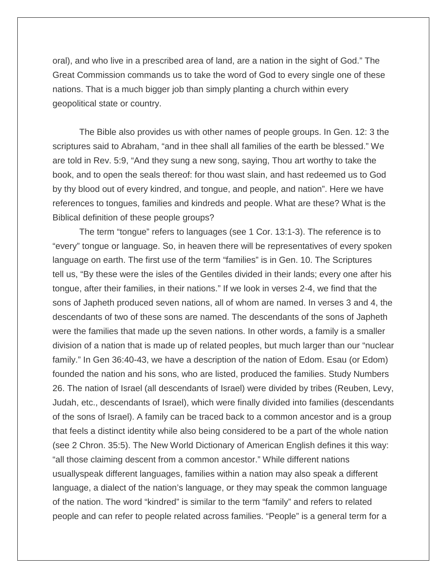oral), and who live in a prescribed area of land, are a nation in the sight of God." The Great Commission commands us to take the word of God to every single one of these nations. That is a much bigger job than simply planting a church within every geopolitical state or country.

The Bible also provides us with other names of people groups. In Gen. 12: 3 the scriptures said to Abraham, "and in thee shall all families of the earth be blessed." We are told in Rev. 5:9, "And they sung a new song, saying, Thou art worthy to take the book, and to open the seals thereof: for thou wast slain, and hast redeemed us to God by thy blood out of every kindred, and tongue, and people, and nation". Here we have references to tongues, families and kindreds and people. What are these? What is the Biblical definition of these people groups?

The term "tongue" refers to languages (see 1 Cor. 13:1-3). The reference is to "every" tongue or language. So, in heaven there will be representatives of every spoken language on earth. The first use of the term "families" is in Gen. 10. The Scriptures tell us, "By these were the isles of the Gentiles divided in their lands; every one after his tongue, after their families, in their nations." If we look in verses 2-4, we find that the sons of Japheth produced seven nations, all of whom are named. In verses 3 and 4, the descendants of two of these sons are named. The descendants of the sons of Japheth were the families that made up the seven nations. In other words, a family is a smaller division of a nation that is made up of related peoples, but much larger than our "nuclear family." In Gen 36:40-43, we have a description of the nation of Edom. Esau (or Edom) founded the nation and his sons, who are listed, produced the families. Study Numbers 26. The nation of Israel (all descendants of Israel) were divided by tribes (Reuben, Levy, Judah, etc., descendants of Israel), which were finally divided into families (descendants of the sons of Israel). A family can be traced back to a common ancestor and is a group that feels a distinct identity while also being considered to be a part of the whole nation (see 2 Chron. 35:5). The New World Dictionary of American English defines it this way: "all those claiming descent from a common ancestor." While different nations usuallyspeak different languages, families within a nation may also speak a different language, a dialect of the nation's language, or they may speak the common language of the nation. The word "kindred" is similar to the term "family" and refers to related people and can refer to people related across families. "People" is a general term for a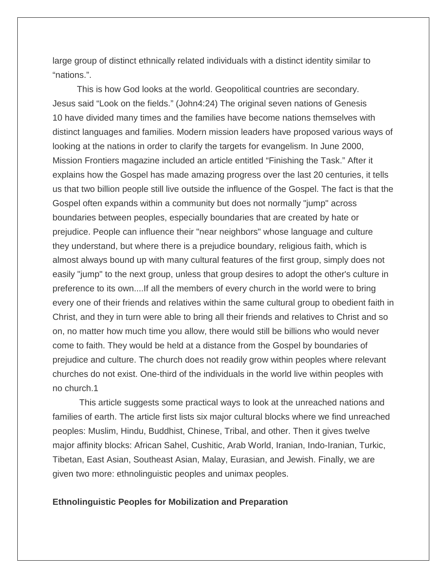large group of distinct ethnically related individuals with a distinct identity similar to "nations.".

This is how God looks at the world. Geopolitical countries are secondary. Jesus said "Look on the fields." (John4:24) The original seven nations of Genesis 10 have divided many times and the families have become nations themselves with distinct languages and families. Modern mission leaders have proposed various ways of looking at the nations in order to clarify the targets for evangelism. In June 2000, Mission Frontiers magazine included an article entitled "Finishing the Task." After it explains how the Gospel has made amazing progress over the last 20 centuries, it tells us that two billion people still live outside the influence of the Gospel. The fact is that the Gospel often expands within a community but does not normally "jump" across boundaries between peoples, especially boundaries that are created by hate or prejudice. People can influence their "near neighbors" whose language and culture they understand, but where there is a prejudice boundary, religious faith, which is almost always bound up with many cultural features of the first group, simply does not easily "jump" to the next group, unless that group desires to adopt the other's culture in preference to its own....If all the members of every church in the world were to bring every one of their friends and relatives within the same cultural group to obedient faith in Christ, and they in turn were able to bring all their friends and relatives to Christ and so on, no matter how much time you allow, there would still be billions who would never come to faith. They would be held at a distance from the Gospel by boundaries of prejudice and culture. The church does not readily grow within peoples where relevant churches do not exist. One-third of the individuals in the world live within peoples with no church.1

This article suggests some practical ways to look at the unreached nations and families of earth. The article first lists six major cultural blocks where we find unreached peoples: Muslim, Hindu, Buddhist, Chinese, Tribal, and other. Then it gives twelve major affinity blocks: African Sahel, Cushitic, Arab World, Iranian, Indo-Iranian, Turkic, Tibetan, East Asian, Southeast Asian, Malay, Eurasian, and Jewish. Finally, we are given two more: ethnolinguistic peoples and unimax peoples.

## **Ethnolinguistic Peoples for Mobilization and Preparation**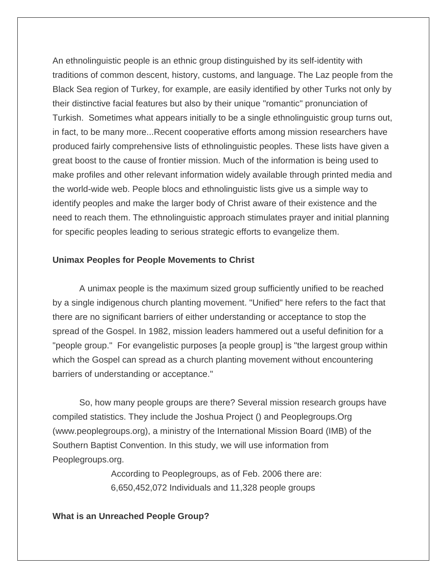An ethnolinguistic people is an ethnic group distinguished by its self-identity with traditions of common descent, history, customs, and language. The Laz people from the Black Sea region of Turkey, for example, are easily identified by other Turks not only by their distinctive facial features but also by their unique "romantic" pronunciation of Turkish. Sometimes what appears initially to be a single ethnolinguistic group turns out, in fact, to be many more...Recent cooperative efforts among mission researchers have produced fairly comprehensive lists of ethnolinguistic peoples. These lists have given a great boost to the cause of frontier mission. Much of the information is being used to make profiles and other relevant information widely available through printed media and the world-wide web. People blocs and ethnolinguistic lists give us a simple way to identify peoples and make the larger body of Christ aware of their existence and the need to reach them. The ethnolinguistic approach stimulates prayer and initial planning for specific peoples leading to serious strategic efforts to evangelize them.

## **Unimax Peoples for People Movements to Christ**

A unimax people is the maximum sized group sufficiently unified to be reached by a single indigenous church planting movement. "Unified" here refers to the fact that there are no significant barriers of either understanding or acceptance to stop the spread of the Gospel. In 1982, mission leaders hammered out a useful definition for a "people group." For evangelistic purposes [a people group] is "the largest group within which the Gospel can spread as a church planting movement without encountering barriers of understanding or acceptance."

So, how many people groups are there? Several mission research groups have compiled statistics. They include the Joshua Project () and Peoplegroups.Org (www.peoplegroups.org), a ministry of the International Mission Board (IMB) of the Southern Baptist Convention. In this study, we will use information from Peoplegroups.org.

> According to Peoplegroups, as of Feb. 2006 there are: 6,650,452,072 Individuals and 11,328 people groups

## **What is an Unreached People Group?**